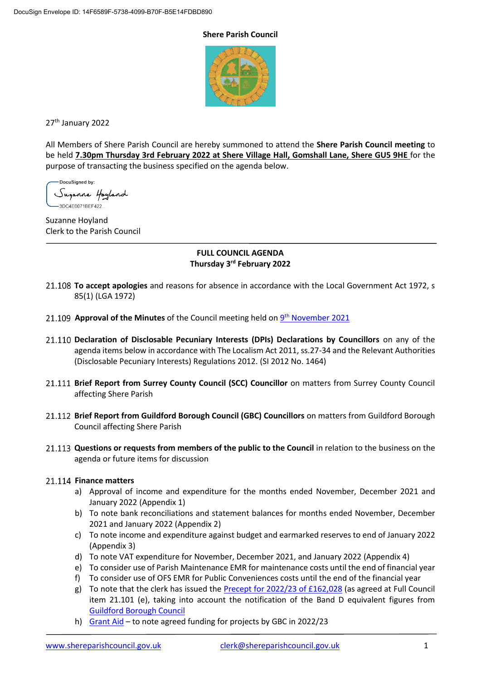#### **Shere Parish Council**



27th January 2022

All Members of Shere Parish Council are hereby summoned to attend the **Shere Parish Council meeting** to be held **7.30pm Thursday 3rd February 2022 at Shere Village Hall, Gomshall Lane, Shere GU5 9HE** for the purpose of transacting the business specified on the agenda below.

DocuSigned by: Suganne Hoyland 3DC4E0071BEF422...

Suzanne Hoyland Clerk to the Parish Council

## **FULL COUNCIL AGENDA Thursday 3rd February 2022**

- **To accept apologies** and reasons for absence in accordance with the Local Government Act 1972, s 85(1) (LGA 1972)
- **Approval of the Minutes** of the Council meeting held on  $9^{th}$  [November](https://www.shereparishcouncil.gov.uk/wp-content/uploads/2021/11/Council-Minutes-November-2021-1.pdf) 2021
- **Declaration of Disclosable Pecuniary Interests (DPIs) Declarations by Councillors** on any of the agenda items below in accordance with The Localism Act 2011, ss.27-34 and the Relevant Authorities (Disclosable Pecuniary Interests) Regulations 2012. (SI 2012 No. 1464)
- **Brief Report from Surrey County Council (SCC) Councillor** on matters from Surrey County Council affecting Shere Parish
- **Brief Report from Guildford Borough Council (GBC) Councillors** on matters from Guildford Borough Council affecting Shere Parish
- **Questions or requests from members of the public to the Council** in relation to the business on the agenda or future items for discussion

## 21.114 Finance matters

- a) Approval of income and expenditure for the months ended November, December 2021 and January 2022 (Appendix 1)
- b) To note bank reconciliations and statement balances for months ended November, December 2021 and January 2022 (Appendix 2)
- c) To note income and expenditure against budget and earmarked reserves to end of January 2022 (Appendix 3)
- d) To note VAT expenditure for November, December 2021, and January 2022 (Appendix 4)
- e) To consider use of Parish Maintenance EMR for maintenance costs until the end of financial year
- f) To consider use of OFS EMR for Public Conveniences costs until the end of the financial year
- g) To note that the clerk has issued the **Precept for 2022/23 of £162,028** (as agreed at Full Council item 21.101 (e), taking into account the notification of the Band D equivalent figures from [Guildford Borough Council](https://www.shereparishcouncil.gov.uk/wp-content/uploads/2021/12/Parish-Council-2022-23-letter-Nov-21.pdf)
- h) [Grant Aid](https://www.shereparishcouncil.gov.uk/wp-content/uploads/2021/12/Approved-Grant-Aid-Shere-CFGA-22-23.pdf) to note agreed funding for projects by GBC in 2022/23